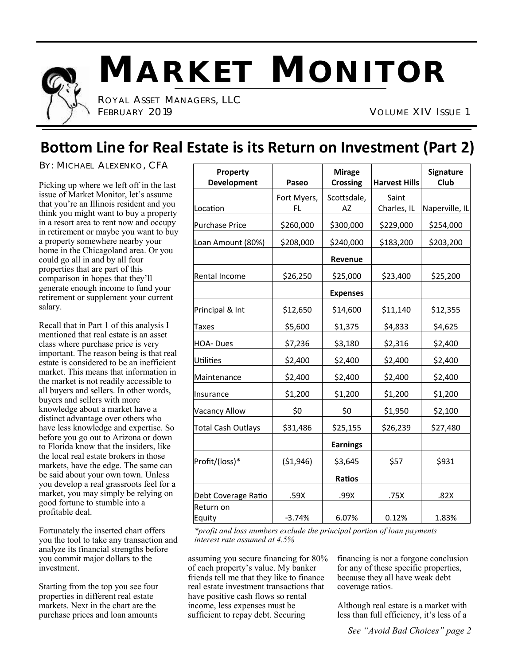

# **MARKET MONITOR**

 ROYAL ASSET MANAGERS, LLC FEBRUARY 2019 VOLUME XIV ISSUE 1

## **Bottom Line for Real Estate is its Return on Investment (Part 2)**

BY: MICHAEL ALEXENKO, CFA

Picking up where we left off in the last issue of Market Monitor, let's assume that you're an Illinois resident and you think you might want to buy a property in a resort area to rent now and occupy in retirement or maybe you want to buy a property somewhere nearby your home in the Chicagoland area. Or you could go all in and by all four properties that are part of this comparison in hopes that they'll generate enough income to fund your retirement or supplement your current salary.

Recall that in Part 1 of this analysis I mentioned that real estate is an asset class where purchase price is very important. The reason being is that real estate is considered to be an inefficient market. This means that information in the market is not readily accessible to all buyers and sellers. In other words, buyers and sellers with more knowledge about a market have a distinct advantage over others who have less knowledge and expertise. So before you go out to Arizona or down to Florida know that the insiders, like the local real estate brokers in those markets, have the edge. The same can be said about your own town. Unless you develop a real grassroots feel for a market, you may simply be relying on good fortune to stumble into a profitable deal.

Fortunately the inserted chart offers you the tool to take any transaction and analyze its financial strengths before you commit major dollars to the investment.

Starting from the top you see four properties in different real estate markets. Next in the chart are the purchase prices and loan amounts

| Property<br>Development   | Paseo             | <b>Mirage</b><br><b>Crossing</b> | <b>Harvest Hills</b> | Signature<br>Club |
|---------------------------|-------------------|----------------------------------|----------------------|-------------------|
| Location                  | Fort Myers,<br>FL | Scottsdale,<br>AZ                | Saint<br>Charles, IL | Naperville, IL    |
| <b>Purchase Price</b>     | \$260,000         | \$300,000                        | \$229,000            | \$254,000         |
| Loan Amount (80%)         | \$208,000         | \$240,000                        | \$183,200            | \$203,200         |
|                           |                   | Revenue                          |                      |                   |
| Rental Income             | \$26,250          | \$25,000                         | \$23,400             | \$25,200          |
|                           |                   | <b>Expenses</b>                  |                      |                   |
| Principal & Int           | \$12,650          | \$14,600                         | \$11,140             | \$12,355          |
| <b>Taxes</b>              | \$5,600           | \$1,375                          | \$4,833              | \$4,625           |
| HOA-Dues                  | \$7,236           | \$3,180                          | \$2,316              | \$2,400           |
| Utilities                 | \$2,400           | \$2,400                          | \$2,400              | \$2,400           |
| Maintenance               | \$2,400           | \$2,400                          | \$2,400              | \$2,400           |
| Insurance                 | \$1,200           | \$1,200                          | \$1,200              | \$1,200           |
| <b>Vacancy Allow</b>      | \$0               | \$0                              | \$1,950              | \$2,100           |
| <b>Total Cash Outlays</b> | \$31,486          | \$25,155                         | \$26,239             | \$27,480          |
|                           |                   | <b>Earnings</b>                  |                      |                   |
| Profit/(loss)*            | ( \$1,946)        | \$3,645                          | \$57                 | \$931             |
|                           |                   | Ratios                           |                      |                   |
| Debt Coverage Ratio       | .59X              | .99X                             | .75X                 | .82X              |
| Return on<br>Equity       | $-3.74%$          | 6.07%                            | 0.12%                | 1.83%             |

*\*profit and loss numbers exclude the principal portion of loan payments interest rate assumed at 4.5%*

assuming you secure financing for 80% of each property's value. My banker friends tell me that they like to finance real estate investment transactions that have positive cash flows so rental income, less expenses must be sufficient to repay debt. Securing

financing is not a forgone conclusion for any of these specific properties, because they all have weak debt coverage ratios.

Although real estate is a market with less than full efficiency, it's less of a